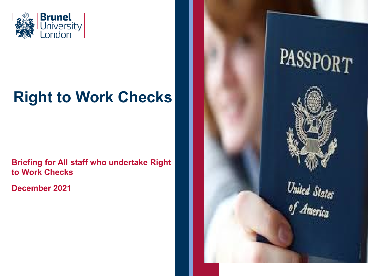

# **Right to Work Checks**

**Briefing for All staff who undertake Right to Work Checks**

**December 2021**

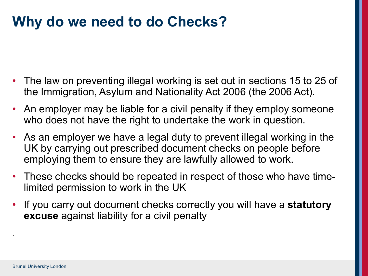### **Why do we need to do Checks?**

- The law on preventing illegal working is set out in sections 15 to 25 of the Immigration, Asylum and Nationality Act 2006 (the 2006 Act).
- An employer may be liable for a civil penalty if they employ someone who does not have the right to undertake the work in question.
- As an employer we have a legal duty to prevent illegal working in the UK by carrying out prescribed document checks on people before employing them to ensure they are lawfully allowed to work.
- These checks should be repeated in respect of those who have timelimited permission to work in the UK
- If you carry out document checks correctly you will have a **statutory excuse** against liability for a civil penalty

.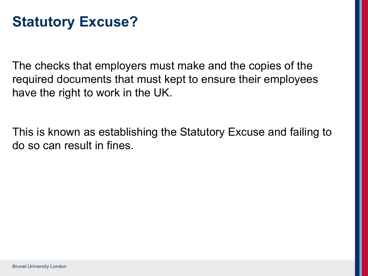### **Statutory Excuse?**

The checks that employers must make and the copies of the required documents that must kept to ensure their employees have the right to work in the UK.

This is known as establishing the Statutory Excuse and failing to do so can result in fines.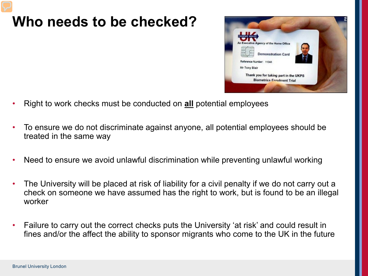### **Who needs to be checked?**



- Right to work checks must be conducted on **all** potential employees
- To ensure we do not discriminate against anyone, all potential employees should be treated in the same way
- Need to ensure we avoid unlawful discrimination while preventing unlawful working
- The University will be placed at risk of liability for a civil penalty if we do not carry out a check on someone we have assumed has the right to work, but is found to be an illegal worker
- Failure to carry out the correct checks puts the University 'at risk' and could result in fines and/or the affect the ability to sponsor migrants who come to the UK in the future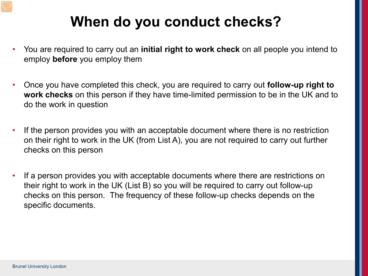## **When do you conduct checks?**

- You are required to carry out an **initial right to work check** on all people you intend to employ **before** you employ them
- Once you have completed this check, you are required to carry out **follow-up right to work checks** on this person if they have time-limited permission to be in the UK and to do the work in question
- If the person provides you with an acceptable document where there is no restriction on their right to work in the UK (from List A), you are not required to carry out further checks on this person
- If a person provides you with acceptable documents where there are restrictions on their right to work in the UK (List B) so you will be required to carry out follow-up checks on this person. The frequency of these follow-up checks depends on the specific documents.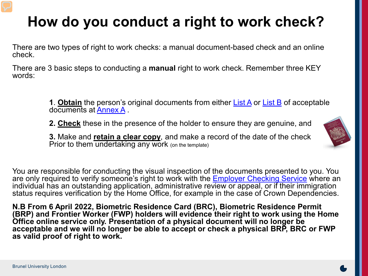# **How do you conduct a right to work check?**

There are two types of right to work checks: a manual document-based check and an online check.

There are 3 basic steps to conducting a **manual** right to work check. Remember three KEY words:

> **1**. **Obtain** the person's original documents from either [List A](https://www.gov.uk/government/publications/right-to-work-checks-employers-guide/an-employers-guide-to-right-to-work-checks-31-august-2021-accessible-version#list-a) or [List B](https://www.gov.uk/government/publications/right-to-work-checks-employers-guide/an-employers-guide-to-right-to-work-checks-31-august-2021-accessible-version#list-b) of acceptable documents at [Annex A](https://www.gov.uk/government/publications/right-to-work-checks-employers-guide/an-employers-guide-to-right-to-work-checks-31-august-2021-accessible-version#annex-a) .

**2. Check** these in the presence of the holder to ensure they are genuine, and

**3.** Make and **retain a clear copy**, and make a record of the date of the check Prior to them undertaking any work (on the template)



You are responsible for conducting the visual inspection of the documents presented to you. You are only required to verify someone's right to work with the [Employer Checking Service](https://www.gov.uk/employee-immigration-employment-status) where an individual has an outstanding application, administrative review or appeal, or if their immigration status requires verification by the Home Office, for example in the case of Crown Dependencies.

**N.B From 6 April 2022, Biometric Residence Card (BRC), Biometric Residence Permit (BRP) and Frontier Worker (FWP) holders will evidence their right to work using the Home Office online service only. Presentation of a physical document will no longer be acceptable and we will no longer be able to accept or check a physical BRP, BRC or FWP as valid proof of right to work.**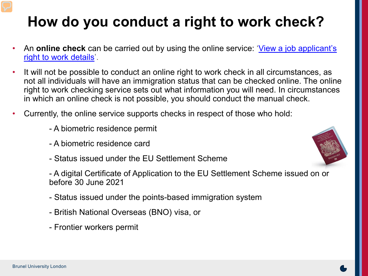# **How do you conduct a right to work check?**

- An **online check** [can be carried out by using the online service: 'View a job applicant's](https://www.gov.uk/view-right-to-work)  right to work details'.
- It will not be possible to conduct an online right to work check in all circumstances, as not all individuals will have an immigration status that can be checked online. The online right to work checking service sets out what information you will need. In circumstances in which an online check is not possible, you should conduct the manual check.
- Currently, the online service supports checks in respect of those who hold:
	- A biometric residence permit
	- A biometric residence card
	- Status issued under the EU Settlement Scheme
	- A digital Certificate of Application to the EU Settlement Scheme issued on or before 30 June 2021
	- Status issued under the points-based immigration system
	- British National Overseas (BNO) visa, or
	- Frontier workers permit

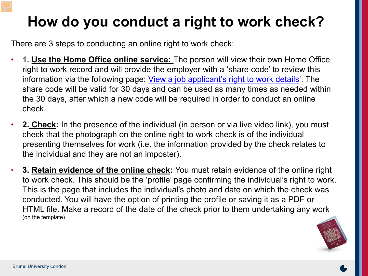# **How do you conduct a right to work check?**

There are 3 steps to conducting an online right to work check:

- **1. Use the Home Office online service:** The person will view their own Home Office right to work record and will provide the employer with a 'share code' to review this information via the following page: [View a job applicant's right to work details'](https://www.gov.uk/view-right-to-work). The share code will be valid for 30 days and can be used as many times as needed within the 30 days, after which a new code will be required in order to conduct an online check.
- **2. Check:** In the presence of the individual (in person or via live video link), you must check that the photograph on the online right to work check is of the individual presenting themselves for work (i.e. the information provided by the check relates to the individual and they are not an imposter).
- **3. Retain evidence of the online check:** You must retain evidence of the online right to work check. This should be the 'profile' page confirming the individual's right to work. This is the page that includes the individual's photo and date on which the check was conducted. You will have the option of printing the profile or saving it as a PDF or HTML file. Make a record of the date of the check prior to them undertaking any work (on the template)

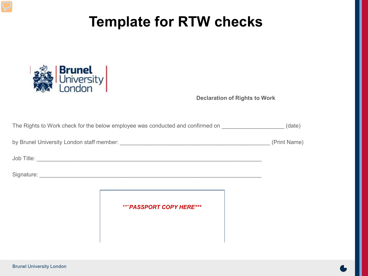## **Template for RTW checks**



**Declaration of Rights to Work**

| The Rights to Work check for the below employee was conducted and confirmed on |                                 | (date)       |
|--------------------------------------------------------------------------------|---------------------------------|--------------|
|                                                                                |                                 | (Print Name) |
|                                                                                |                                 |              |
|                                                                                |                                 |              |
|                                                                                |                                 |              |
|                                                                                | <b>**"PASSPORT COPY HERE***</b> |              |
|                                                                                |                                 |              |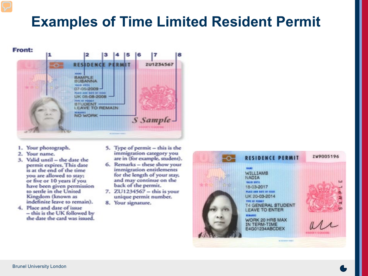### **Examples of Time Limited Resident Permit**



- 1. Your photograph.
- 2. Your name.
- 3. Valid until the date the permit expires. This date is at the end of the time you are allowed to stay: or five or 10 years if you have been given permission to settle in the United Kingdom (known as indefinite leave to remain).
- 4. Place and date of issue - this is the UK followed by the date the card was issued.
- 5. Type of permit this is the immigration category you are in (for example, student).
- 6. Remarks these show your immigration entitlements for the length of your stay, and may continue on the back of the permit.
- 7. ZU1234567 this is your unique permit number.
- 8. Your signature.

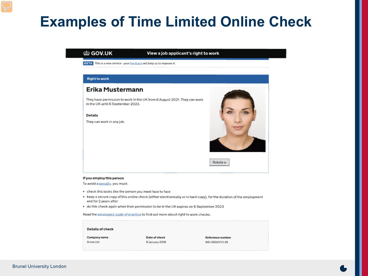### **Examples of Time Limited Online Check**

### the GOV.UK

### View a job applicant's right to work

BETA This is a new service - your feedback will help us to improve it.

### **Right to work**

### Erika Mustermann

They have permission to work in the UK from 6 August 2021. They can work in the UK until 6 September 2023.

#### **Details**

They can work in any job.



Rotate u

### If you employ this person

To avoid a penalty, you must:

- check this looks like the person you meet face to face
- keep a secure copy of this online check (either electronically or in hard copy), for the duration of the employment and for 2 years after
- . do this check again when their permission to be in the UK expires on 6 September 2023

Read the employers' code of practice to find out more about right to work checks.

### **Details of check**

Company name Acme Ltd

Date of check 8 January 2018

Reference number WE-OSGKVYJ-35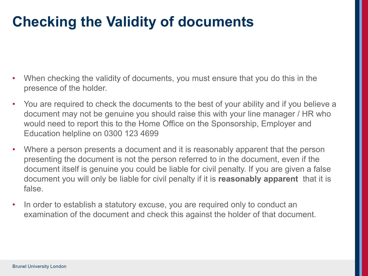## **Checking the Validity of documents**

- When checking the validity of documents, you must ensure that you do this in the presence of the holder.
- You are required to check the documents to the best of your ability and if you believe a document may not be genuine you should raise this with your line manager / HR who would need to report this to the Home Office on the Sponsorship, Employer and Education helpline on 0300 123 4699
- Where a person presents a document and it is reasonably apparent that the person presenting the document is not the person referred to in the document, even if the document itself is genuine you could be liable for civil penalty. If you are given a false document you will only be liable for civil penalty if it is **reasonably apparent** that it is false.
- In order to establish a statutory excuse, you are required only to conduct an examination of the document and check this against the holder of that document.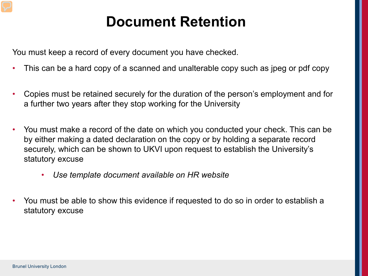### **Document Retention**

You must keep a record of every document you have checked.

- This can be a hard copy of a scanned and unalterable copy such as jpeg or pdf copy
- Copies must be retained securely for the duration of the person's employment and for a further two years after they stop working for the University
- You must make a record of the date on which you conducted your check. This can be by either making a dated declaration on the copy or by holding a separate record securely, which can be shown to UKVI upon request to establish the University's statutory excuse
	- *Use template document available on HR website*
- You must be able to show this evidence if requested to do so in order to establish a statutory excuse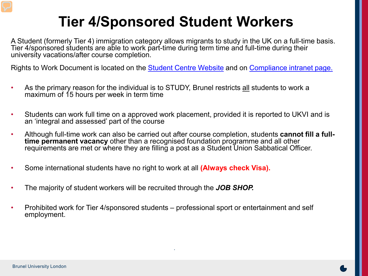## **Tier 4/Sponsored Student Workers**

A Student (formerly Tier 4) immigration category allows migrants to study in the UK on a full-time basis. Tier 4/sponsored students are able to work part-time during term time and full-time during their university vacations/after course completion.

Rights to Work Document is located on the [Student Centre Website](https://intra.brunel.ac.uk/s/studentcentre/Documents/Rights%20to%20Work%20-Tier%204%20(3).pdf) and on [Compliance intranet page.](https://intra.brunel.ac.uk/s/Student-Services/Compliance/Pages/default.aspx)

- As the primary reason for the individual is to STUDY, Brunel restricts all students to work a maximum of 15 hours per week in term time
- Students can work full time on a approved work placement, provided it is reported to UKVI and is an 'integral and assessed' part of the course
- Although full-time work can also be carried out after course completion, students **cannot fill a full- time permanent vacancy** other than a recognised foundation programme and all other requirements are met or where they are filling a post as a Student Union Sabbatical Officer.
- Some international students have no right to work at all **(Always check Visa).**
- The majority of student workers will be recruited through the *JOB SHOP.*
- Prohibited work for Tier 4/sponsored students professional sport or entertainment and self employment.

.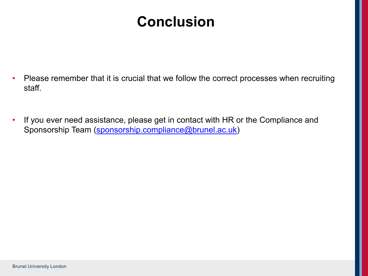## **Conclusion**

- Please remember that it is crucial that we follow the correct processes when recruiting staff.
- If you ever need assistance, please get in contact with HR or the Compliance and Sponsorship Team ([sponsorship.compliance@brunel.ac.uk\)](mailto:sponsorship.compliance@brunel.ac.uk)